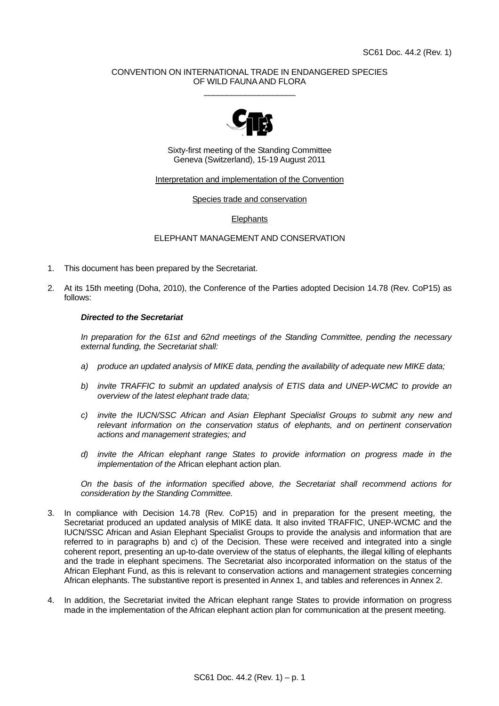## CONVENTION ON INTERNATIONAL TRADE IN ENDANGERED SPECIES OF WILD FAUNA AND FLORA  $\_$



Sixty-first meeting of the Standing Committee Geneva (Switzerland), 15-19 August 2011

# Interpretation and implementation of the Convention

Species trade and conservation

#### **Elephants**

# ELEPHANT MANAGEMENT AND CONSERVATION

- 1. This document has been prepared by the Secretariat.
- 2. At its 15th meeting (Doha, 2010), the Conference of the Parties adopted Decision 14.78 (Rev. CoP15) as follows:

#### *Directed to the Secretariat*

 *In preparation for the 61st and 62nd meetings of the Standing Committee, pending the necessary external funding, the Secretariat shall:* 

- *a) produce an updated analysis of MIKE data, pending the availability of adequate new MIKE data;*
- *b) invite TRAFFIC to submit an updated analysis of ETIS data and UNEP-WCMC to provide an overview of the latest elephant trade data;*
- *c) invite the IUCN/SSC African and Asian Elephant Specialist Groups to submit any new and relevant information on the conservation status of elephants, and on pertinent conservation actions and management strategies; and*
- *d) invite the African elephant range States to provide information on progress made in the implementation of the* African elephant action plan*.*

 *On the basis of the information specified above, the Secretariat shall recommend actions for consideration by the Standing Committee.* 

- 3. In compliance with Decision 14.78 (Rev. CoP15) and in preparation for the present meeting, the Secretariat produced an updated analysis of MIKE data. It also invited TRAFFIC, UNEP-WCMC and the IUCN/SSC African and Asian Elephant Specialist Groups to provide the analysis and information that are referred to in paragraphs b) and c) of the Decision. These were received and integrated into a single coherent report, presenting an up-to-date overview of the status of elephants, the illegal killing of elephants and the trade in elephant specimens. The Secretariat also incorporated information on the status of the African Elephant Fund, as this is relevant to conservation actions and management strategies concerning African elephants. The substantive report is presented in Annex 1, and tables and references in Annex 2.
- 4. In addition, the Secretariat invited the African elephant range States to provide information on progress made in the implementation of the African elephant action plan for communication at the present meeting.